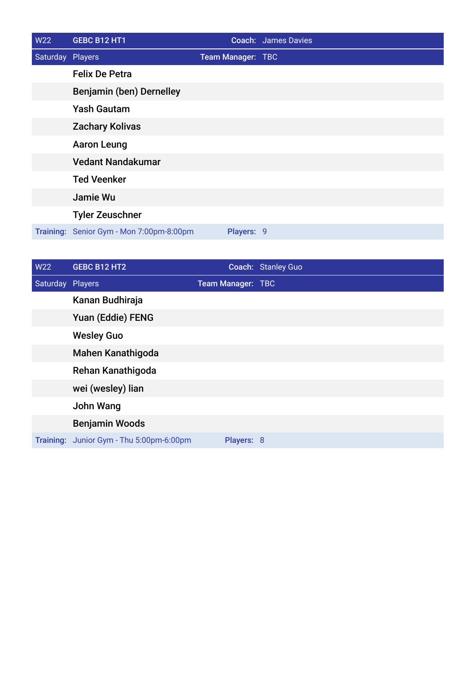| W22              | GEBC B12 HT1                             |                   | <b>Coach: James Davies</b> |
|------------------|------------------------------------------|-------------------|----------------------------|
| Saturday Players |                                          | Team Manager: TBC |                            |
|                  | <b>Felix De Petra</b>                    |                   |                            |
|                  | Benjamin (ben) Dernelley                 |                   |                            |
|                  | <b>Yash Gautam</b>                       |                   |                            |
|                  | <b>Zachary Kolivas</b>                   |                   |                            |
|                  | <b>Aaron Leung</b>                       |                   |                            |
|                  | <b>Vedant Nandakumar</b>                 |                   |                            |
|                  | <b>Ted Veenker</b>                       |                   |                            |
|                  | Jamie Wu                                 |                   |                            |
|                  | <b>Tyler Zeuschner</b>                   |                   |                            |
|                  | Training: Senior Gym - Mon 7:00pm-8:00pm | Players: 9        |                            |

| W22              | GEBC B12 HT2                             |                   | Coach: Stanley Guo |
|------------------|------------------------------------------|-------------------|--------------------|
| Saturday Players |                                          | Team Manager: TBC |                    |
|                  | Kanan Budhiraja                          |                   |                    |
|                  | Yuan (Eddie) FENG                        |                   |                    |
|                  | <b>Wesley Guo</b>                        |                   |                    |
|                  | <b>Mahen Kanathigoda</b>                 |                   |                    |
|                  | Rehan Kanathigoda                        |                   |                    |
|                  | wei (wesley) lian                        |                   |                    |
|                  | John Wang                                |                   |                    |
|                  | <b>Benjamin Woods</b>                    |                   |                    |
|                  | Training: Junior Gym - Thu 5:00pm-6:00pm | Players: 8        |                    |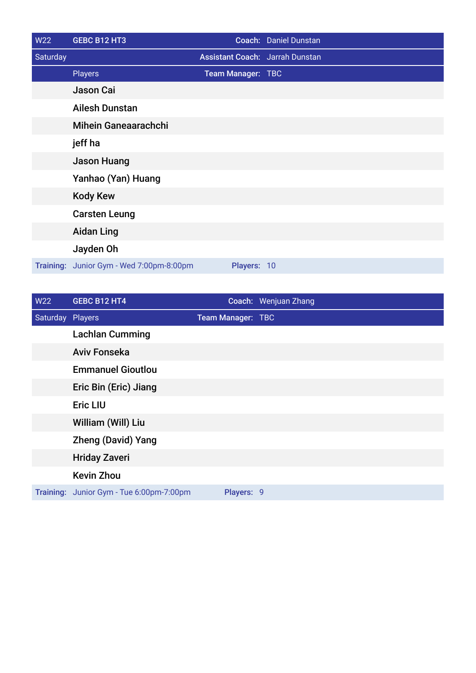| <b>W22</b> | GEBC B12 HT3                   |                   | Coach: Daniel Dunstan                  |
|------------|--------------------------------|-------------------|----------------------------------------|
| Saturday   |                                |                   | <b>Assistant Coach: Jarrah Dunstan</b> |
|            | <b>Players</b>                 | Team Manager: TBC |                                        |
|            | <b>Jason Cai</b>               |                   |                                        |
|            | <b>Ailesh Dunstan</b>          |                   |                                        |
|            | <b>Mihein Ganeaarachchi</b>    |                   |                                        |
|            | jeff ha                        |                   |                                        |
|            | <b>Jason Huang</b>             |                   |                                        |
|            | Yanhao (Yan) Huang             |                   |                                        |
|            | <b>Kody Kew</b>                |                   |                                        |
|            | <b>Carsten Leung</b>           |                   |                                        |
|            | <b>Aidan Ling</b>              |                   |                                        |
|            | Jayden Oh                      |                   |                                        |
| Training:  | Junior Gym - Wed 7:00pm-8:00pm | Players: 10       |                                        |

| W22              | GEBC B12 HT4                             |                   | Coach: Wenjuan Zhang |
|------------------|------------------------------------------|-------------------|----------------------|
| Saturday Players |                                          | Team Manager: TBC |                      |
|                  | <b>Lachlan Cumming</b>                   |                   |                      |
|                  | <b>Aviv Fonseka</b>                      |                   |                      |
|                  | <b>Emmanuel Gioutlou</b>                 |                   |                      |
|                  | Eric Bin (Eric) Jiang                    |                   |                      |
|                  | <b>Eric LIU</b>                          |                   |                      |
|                  | William (Will) Liu                       |                   |                      |
|                  | <b>Zheng (David) Yang</b>                |                   |                      |
|                  | <b>Hriday Zaveri</b>                     |                   |                      |
|                  | <b>Kevin Zhou</b>                        |                   |                      |
|                  | Training: Junior Gym - Tue 6:00pm-7:00pm | Players: 9        |                      |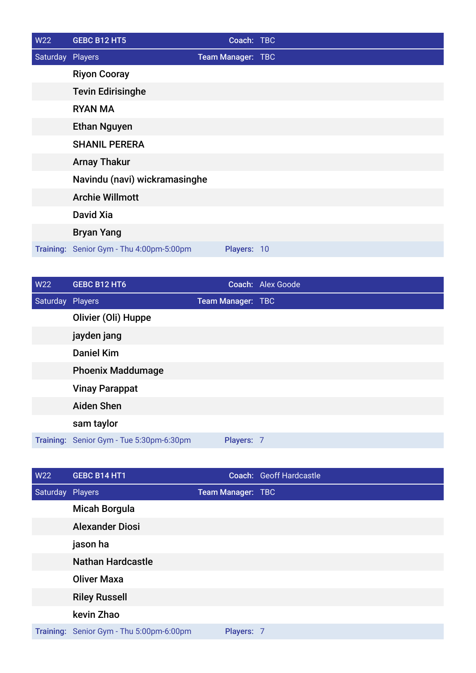| W22              | <b>GEBC B12 HT5</b>                      | Coach: TBC        |  |
|------------------|------------------------------------------|-------------------|--|
| Saturday Players |                                          | Team Manager: TBC |  |
|                  | <b>Riyon Cooray</b>                      |                   |  |
|                  | <b>Tevin Edirisinghe</b>                 |                   |  |
|                  | <b>RYAN MA</b>                           |                   |  |
|                  | <b>Ethan Nguyen</b>                      |                   |  |
|                  | <b>SHANIL PERERA</b>                     |                   |  |
|                  | <b>Arnay Thakur</b>                      |                   |  |
|                  | Navindu (navi) wickramasinghe            |                   |  |
|                  | <b>Archie Willmott</b>                   |                   |  |
|                  | David Xia                                |                   |  |
|                  | <b>Bryan Yang</b>                        |                   |  |
|                  | Training: Senior Gym - Thu 4:00pm-5:00pm | Players: 10       |  |

| W22              | <b>GEBC B12 HT6</b>                      |                   | Coach: Alex Goode |
|------------------|------------------------------------------|-------------------|-------------------|
| Saturday Players |                                          | Team Manager: TBC |                   |
|                  | Olivier (Oli) Huppe                      |                   |                   |
|                  | jayden jang                              |                   |                   |
|                  | <b>Daniel Kim</b>                        |                   |                   |
|                  | <b>Phoenix Maddumage</b>                 |                   |                   |
|                  | <b>Vinay Parappat</b>                    |                   |                   |
|                  | <b>Aiden Shen</b>                        |                   |                   |
|                  | sam taylor                               |                   |                   |
|                  | Training: Senior Gym - Tue 5:30pm-6:30pm | Players: 7        |                   |

| W22              | GEBC B14 HT1                             |                   | Coach: Geoff Hardcastle |
|------------------|------------------------------------------|-------------------|-------------------------|
| Saturday Players |                                          | Team Manager: TBC |                         |
|                  | <b>Micah Borgula</b>                     |                   |                         |
|                  | <b>Alexander Diosi</b>                   |                   |                         |
|                  | jason ha                                 |                   |                         |
|                  | <b>Nathan Hardcastle</b>                 |                   |                         |
|                  | <b>Oliver Maxa</b>                       |                   |                         |
|                  | <b>Riley Russell</b>                     |                   |                         |
|                  | kevin Zhao                               |                   |                         |
|                  | Training: Senior Gym - Thu 5:00pm-6:00pm | Players: 7        |                         |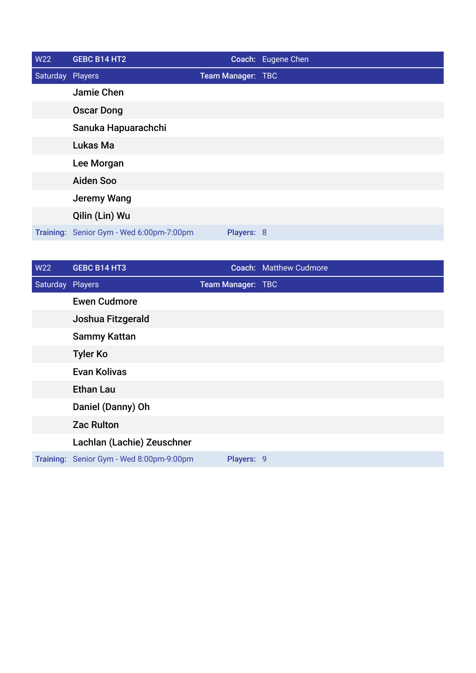| <b>W22</b>       | <b>GEBC B14 HT2</b>                      |                   | Coach: Eugene Chen |
|------------------|------------------------------------------|-------------------|--------------------|
| Saturday Players |                                          | Team Manager: TBC |                    |
|                  | Jamie Chen                               |                   |                    |
|                  | <b>Oscar Dong</b>                        |                   |                    |
|                  | Sanuka Hapuarachchi                      |                   |                    |
|                  | Lukas Ma                                 |                   |                    |
|                  | Lee Morgan                               |                   |                    |
|                  | <b>Aiden Soo</b>                         |                   |                    |
|                  | <b>Jeremy Wang</b>                       |                   |                    |
|                  | Qilin (Lin) Wu                           |                   |                    |
|                  | Training: Senior Gym - Wed 6:00pm-7:00pm | Players: 8        |                    |

| W22              | <b>GEBC B14 HT3</b>                      |                   | <b>Coach: Matthew Cudmore</b> |
|------------------|------------------------------------------|-------------------|-------------------------------|
| Saturday Players |                                          | Team Manager: TBC |                               |
|                  | <b>Ewen Cudmore</b>                      |                   |                               |
|                  | Joshua Fitzgerald                        |                   |                               |
|                  | <b>Sammy Kattan</b>                      |                   |                               |
|                  | <b>Tyler Ko</b>                          |                   |                               |
|                  | <b>Evan Kolivas</b>                      |                   |                               |
|                  | <b>Ethan Lau</b>                         |                   |                               |
|                  | Daniel (Danny) Oh                        |                   |                               |
|                  | <b>Zac Rulton</b>                        |                   |                               |
|                  | Lachlan (Lachie) Zeuschner               |                   |                               |
|                  | Training: Senior Gym - Wed 8:00pm-9:00pm | Players: 9        |                               |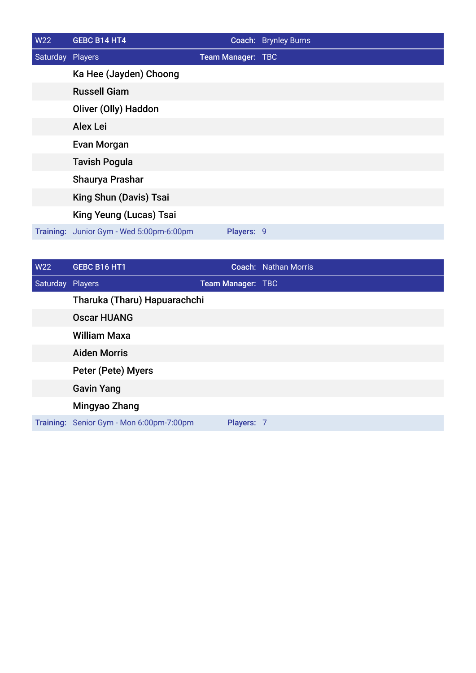| W22              | <b>GEBC B14 HT4</b>                      |                   | Coach: Brynley Burns |
|------------------|------------------------------------------|-------------------|----------------------|
| Saturday Players |                                          | Team Manager: TBC |                      |
|                  | Ka Hee (Jayden) Choong                   |                   |                      |
|                  | <b>Russell Giam</b>                      |                   |                      |
|                  | Oliver (Olly) Haddon                     |                   |                      |
|                  | <b>Alex Lei</b>                          |                   |                      |
|                  | <b>Evan Morgan</b>                       |                   |                      |
|                  | <b>Tavish Pogula</b>                     |                   |                      |
|                  | Shaurya Prashar                          |                   |                      |
|                  | King Shun (Davis) Tsai                   |                   |                      |
|                  | King Yeung (Lucas) Tsai                  |                   |                      |
|                  | Training: Junior Gym - Wed 5:00pm-6:00pm | Players: 9        |                      |

| W22              | <b>GEBC B16 HT1</b>                      |                          | Coach: Nathan Morris |
|------------------|------------------------------------------|--------------------------|----------------------|
| Saturday Players |                                          | <b>Team Manager: TBC</b> |                      |
|                  | Tharuka (Tharu) Hapuarachchi             |                          |                      |
|                  | <b>Oscar HUANG</b>                       |                          |                      |
|                  | <b>William Maxa</b>                      |                          |                      |
|                  | <b>Aiden Morris</b>                      |                          |                      |
|                  | Peter (Pete) Myers                       |                          |                      |
|                  | <b>Gavin Yang</b>                        |                          |                      |
|                  | Mingyao Zhang                            |                          |                      |
|                  | Training: Senior Gym - Mon 6:00pm-7:00pm | Players: 7               |                      |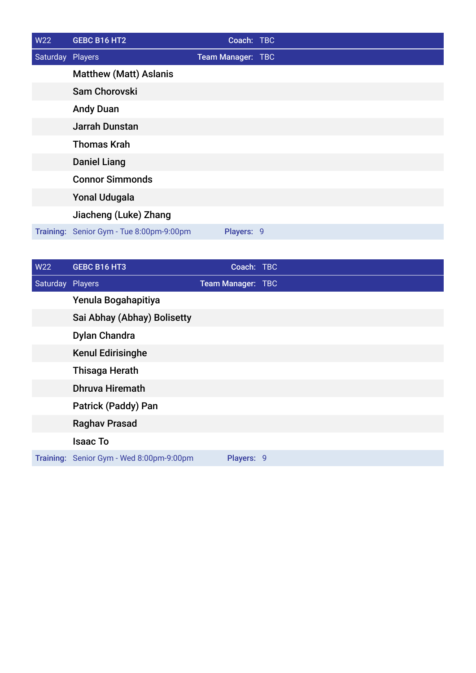| W22              | GEBC B16 HT2                             | Coach: TBC        |  |
|------------------|------------------------------------------|-------------------|--|
| Saturday Players |                                          | Team Manager: TBC |  |
|                  | <b>Matthew (Matt) Aslanis</b>            |                   |  |
|                  | <b>Sam Chorovski</b>                     |                   |  |
|                  | <b>Andy Duan</b>                         |                   |  |
|                  | <b>Jarrah Dunstan</b>                    |                   |  |
|                  | <b>Thomas Krah</b>                       |                   |  |
|                  | <b>Daniel Liang</b>                      |                   |  |
|                  | <b>Connor Simmonds</b>                   |                   |  |
|                  | <b>Yonal Udugala</b>                     |                   |  |
|                  | Jiacheng (Luke) Zhang                    |                   |  |
|                  | Training: Senior Gym - Tue 8:00pm-9:00pm | Players: 9        |  |

| W22              | GEBC B16 HT3                             | Coach: TBC        |  |
|------------------|------------------------------------------|-------------------|--|
| Saturday Players |                                          | Team Manager: TBC |  |
|                  | Yenula Bogahapitiya                      |                   |  |
|                  | Sai Abhay (Abhay) Bolisetty              |                   |  |
|                  | <b>Dylan Chandra</b>                     |                   |  |
|                  | <b>Kenul Edirisinghe</b>                 |                   |  |
|                  | <b>Thisaga Herath</b>                    |                   |  |
|                  | <b>Dhruva Hiremath</b>                   |                   |  |
|                  | Patrick (Paddy) Pan                      |                   |  |
|                  | <b>Raghav Prasad</b>                     |                   |  |
|                  | <b>Isaac To</b>                          |                   |  |
|                  | Training: Senior Gym - Wed 8:00pm-9:00pm | Players: 9        |  |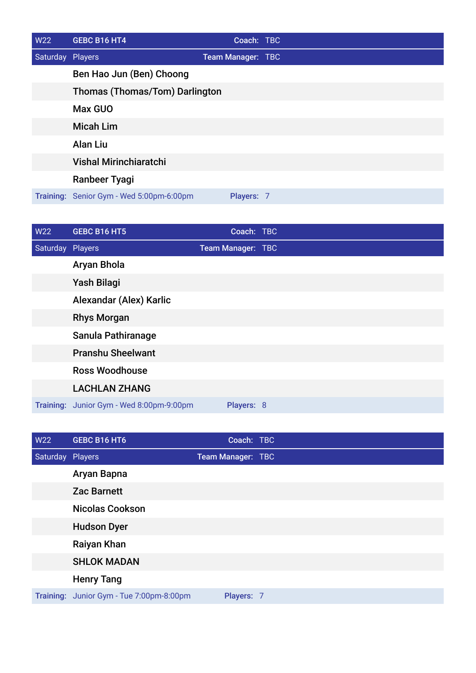| W22              | GEBC B16 HT4                             | Coach: TBC        |  |
|------------------|------------------------------------------|-------------------|--|
| Saturday Players |                                          | Team Manager: TBC |  |
|                  | Ben Hao Jun (Ben) Choong                 |                   |  |
|                  | <b>Thomas (Thomas/Tom) Darlington</b>    |                   |  |
|                  | <b>Max GUO</b>                           |                   |  |
|                  | <b>Micah Lim</b>                         |                   |  |
|                  | <b>Alan Liu</b>                          |                   |  |
|                  | <b>Vishal Mirinchiaratchi</b>            |                   |  |
|                  | Ranbeer Tyagi                            |                   |  |
|                  | Training: Senior Gym - Wed 5:00pm-6:00pm | Players: 7        |  |

| W22              | GEBC B16 HT5                             | Coach: TBC        |  |
|------------------|------------------------------------------|-------------------|--|
| Saturday Players |                                          | Team Manager: TBC |  |
|                  | Aryan Bhola                              |                   |  |
|                  | Yash Bilagi                              |                   |  |
|                  | Alexandar (Alex) Karlic                  |                   |  |
|                  | <b>Rhys Morgan</b>                       |                   |  |
|                  | Sanula Pathiranage                       |                   |  |
|                  | <b>Pranshu Sheelwant</b>                 |                   |  |
|                  | <b>Ross Woodhouse</b>                    |                   |  |
|                  | <b>LACHLAN ZHANG</b>                     |                   |  |
|                  | Training: Junior Gym - Wed 8:00pm-9:00pm | Players: 8        |  |

| <b>W22</b>       | GEBC B16 HT6                             | Coach: TBC        |  |
|------------------|------------------------------------------|-------------------|--|
| Saturday Players |                                          | Team Manager: TBC |  |
|                  | Aryan Bapna                              |                   |  |
|                  | <b>Zac Barnett</b>                       |                   |  |
|                  | <b>Nicolas Cookson</b>                   |                   |  |
|                  | <b>Hudson Dyer</b>                       |                   |  |
|                  | Raiyan Khan                              |                   |  |
|                  | <b>SHLOK MADAN</b>                       |                   |  |
|                  | <b>Henry Tang</b>                        |                   |  |
|                  | Training: Junior Gym - Tue 7:00pm-8:00pm | Players: 7        |  |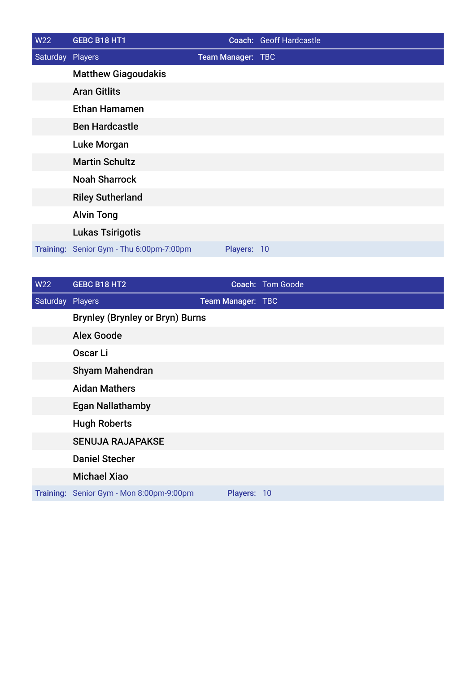| W22              | GEBC B18 HT1                             |                   | Coach: Geoff Hardcastle |
|------------------|------------------------------------------|-------------------|-------------------------|
| Saturday Players |                                          | Team Manager: TBC |                         |
|                  | <b>Matthew Giagoudakis</b>               |                   |                         |
|                  | <b>Aran Gitlits</b>                      |                   |                         |
|                  | <b>Ethan Hamamen</b>                     |                   |                         |
|                  | <b>Ben Hardcastle</b>                    |                   |                         |
|                  | Luke Morgan                              |                   |                         |
|                  | <b>Martin Schultz</b>                    |                   |                         |
|                  | <b>Noah Sharrock</b>                     |                   |                         |
|                  | <b>Riley Sutherland</b>                  |                   |                         |
|                  | <b>Alvin Tong</b>                        |                   |                         |
|                  | <b>Lukas Tsirigotis</b>                  |                   |                         |
|                  | Training: Senior Gym - Thu 6:00pm-7:00pm | Players: 10       |                         |

| W22              | GEBC B18 HT2                             |                   | Coach: Tom Goode |
|------------------|------------------------------------------|-------------------|------------------|
| Saturday Players |                                          | Team Manager: TBC |                  |
|                  | <b>Brynley (Brynley or Bryn) Burns</b>   |                   |                  |
|                  | <b>Alex Goode</b>                        |                   |                  |
|                  | Oscar Li                                 |                   |                  |
|                  | <b>Shyam Mahendran</b>                   |                   |                  |
|                  | <b>Aidan Mathers</b>                     |                   |                  |
|                  | <b>Egan Nallathamby</b>                  |                   |                  |
|                  | <b>Hugh Roberts</b>                      |                   |                  |
|                  | <b>SENUJA RAJAPAKSE</b>                  |                   |                  |
|                  | <b>Daniel Stecher</b>                    |                   |                  |
|                  | <b>Michael Xiao</b>                      |                   |                  |
|                  | Training: Senior Gym - Mon 8:00pm-9:00pm | Players: 10       |                  |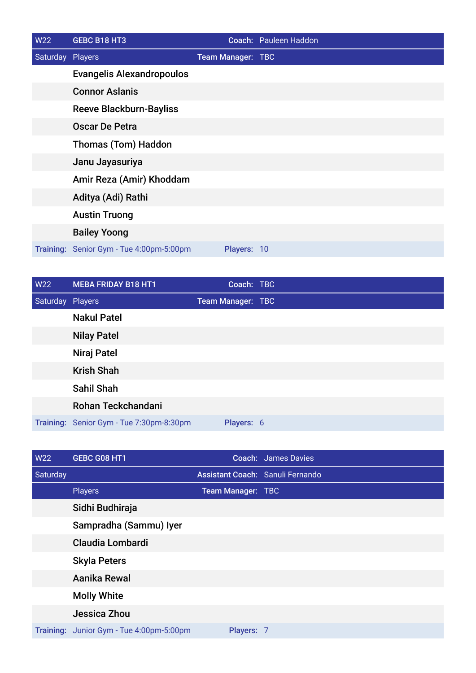| W22              | GEBC B18 HT3                             |                   | Coach: Pauleen Haddon |
|------------------|------------------------------------------|-------------------|-----------------------|
| Saturday Players |                                          | Team Manager: TBC |                       |
|                  | <b>Evangelis Alexandropoulos</b>         |                   |                       |
|                  | <b>Connor Aslanis</b>                    |                   |                       |
|                  | <b>Reeve Blackburn-Bayliss</b>           |                   |                       |
|                  | <b>Oscar De Petra</b>                    |                   |                       |
|                  | <b>Thomas (Tom) Haddon</b>               |                   |                       |
|                  | Janu Jayasuriya                          |                   |                       |
|                  | Amir Reza (Amir) Khoddam                 |                   |                       |
|                  | Aditya (Adi) Rathi                       |                   |                       |
|                  | <b>Austin Truong</b>                     |                   |                       |
|                  | <b>Bailey Yoong</b>                      |                   |                       |
|                  | Training: Senior Gym - Tue 4:00pm-5:00pm | Players: 10       |                       |

| <b>W22</b>       | <b>MEBA FRIDAY B18 HT1</b>               | Coach: TBC               |  |
|------------------|------------------------------------------|--------------------------|--|
| Saturday Players |                                          | <b>Team Manager: TBC</b> |  |
|                  | <b>Nakul Patel</b>                       |                          |  |
|                  | <b>Nilay Patel</b>                       |                          |  |
|                  | Niraj Patel                              |                          |  |
|                  | <b>Krish Shah</b>                        |                          |  |
|                  | <b>Sahil Shah</b>                        |                          |  |
|                  | Rohan Teckchandani                       |                          |  |
|                  | Training: Senior Gym - Tue 7:30pm-8:30pm | Players: 6               |  |

| W22      | GEBC G08 HT1                             |                   | <b>Coach:</b> James Davies       |
|----------|------------------------------------------|-------------------|----------------------------------|
| Saturday |                                          |                   | Assistant Coach: Sanuli Fernando |
|          | <b>Players</b>                           | Team Manager: TBC |                                  |
|          | Sidhi Budhiraja                          |                   |                                  |
|          | Sampradha (Sammu) Iyer                   |                   |                                  |
|          | <b>Claudia Lombardi</b>                  |                   |                                  |
|          | <b>Skyla Peters</b>                      |                   |                                  |
|          | Aanika Rewal                             |                   |                                  |
|          | <b>Molly White</b>                       |                   |                                  |
|          | Jessica Zhou                             |                   |                                  |
|          | Training: Junior Gym - Tue 4:00pm-5:00pm | Players: 7        |                                  |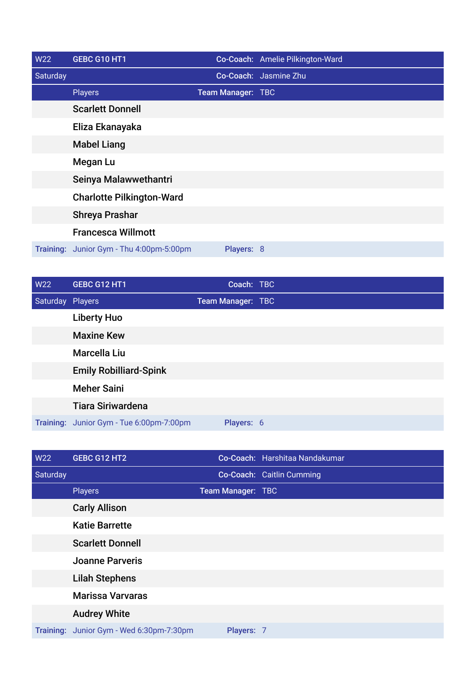| <b>W22</b> | GEBC G10 HT1                             |                   | Co-Coach: Amelie Pilkington-Ward |
|------------|------------------------------------------|-------------------|----------------------------------|
| Saturday   |                                          |                   | Co-Coach: Jasmine Zhu            |
|            | <b>Players</b>                           | Team Manager: TBC |                                  |
|            | <b>Scarlett Donnell</b>                  |                   |                                  |
|            | Eliza Ekanayaka                          |                   |                                  |
|            | <b>Mabel Liang</b>                       |                   |                                  |
|            | <b>Megan Lu</b>                          |                   |                                  |
|            | Seinya Malawwethantri                    |                   |                                  |
|            | <b>Charlotte Pilkington-Ward</b>         |                   |                                  |
|            | <b>Shreya Prashar</b>                    |                   |                                  |
|            | <b>Francesca Willmott</b>                |                   |                                  |
|            | Training: Junior Gym - Thu 4:00pm-5:00pm | Players: 8        |                                  |

| <b>W22</b>       | <b>GEBC G12 HT1</b>                      | Coach: TBC        |  |
|------------------|------------------------------------------|-------------------|--|
| Saturday Players |                                          | Team Manager: TBC |  |
|                  | <b>Liberty Huo</b>                       |                   |  |
|                  | <b>Maxine Kew</b>                        |                   |  |
|                  | Marcella Liu                             |                   |  |
|                  | <b>Emily Robilliard-Spink</b>            |                   |  |
|                  | <b>Meher Saini</b>                       |                   |  |
|                  | <b>Tiara Siriwardena</b>                 |                   |  |
|                  | Training: Junior Gym - Tue 6:00pm-7:00pm | Players: 6        |  |

| <b>W22</b> | GEBC G12 HT2                             |                   | Co-Coach: Harshitaa Nandakumar |
|------------|------------------------------------------|-------------------|--------------------------------|
| Saturday   |                                          |                   | Co-Coach: Caitlin Cumming      |
|            | <b>Players</b>                           | Team Manager: TBC |                                |
|            | <b>Carly Allison</b>                     |                   |                                |
|            | <b>Katie Barrette</b>                    |                   |                                |
|            | <b>Scarlett Donnell</b>                  |                   |                                |
|            | <b>Joanne Parveris</b>                   |                   |                                |
|            | <b>Lilah Stephens</b>                    |                   |                                |
|            | <b>Marissa Varvaras</b>                  |                   |                                |
|            | <b>Audrey White</b>                      |                   |                                |
|            | Training: Junior Gym - Wed 6:30pm-7:30pm | Players: 7        |                                |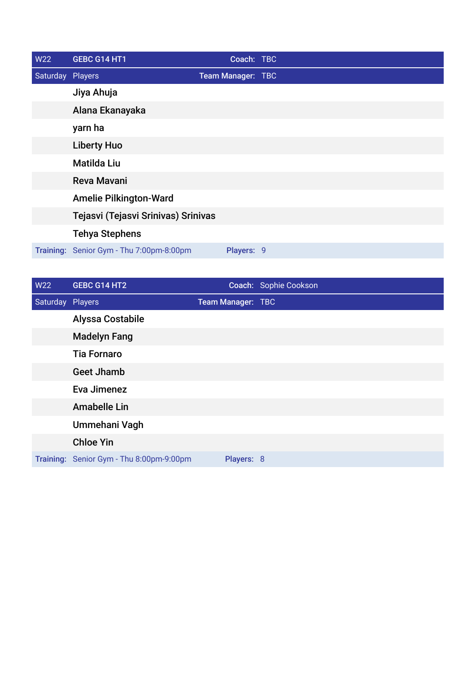| <b>W22</b>       | GEBC G14 HT1                             | Coach: TBC        |  |
|------------------|------------------------------------------|-------------------|--|
| Saturday Players |                                          | Team Manager: TBC |  |
|                  | Jiya Ahuja                               |                   |  |
|                  | Alana Ekanayaka                          |                   |  |
|                  | yarn ha                                  |                   |  |
|                  | <b>Liberty Huo</b>                       |                   |  |
|                  | <b>Matilda Liu</b>                       |                   |  |
|                  | <b>Reva Mavani</b>                       |                   |  |
|                  | <b>Amelie Pilkington-Ward</b>            |                   |  |
|                  | Tejasvi (Tejasvi Srinivas) Srinivas      |                   |  |
|                  | <b>Tehya Stephens</b>                    |                   |  |
|                  | Training: Senior Gym - Thu 7:00pm-8:00pm | Players: 9        |  |

| W22              | GEBC G14 HT2                             |                   | Coach: Sophie Cookson |
|------------------|------------------------------------------|-------------------|-----------------------|
| Saturday Players |                                          | Team Manager: TBC |                       |
|                  | <b>Alyssa Costabile</b>                  |                   |                       |
|                  | <b>Madelyn Fang</b>                      |                   |                       |
|                  | <b>Tia Fornaro</b>                       |                   |                       |
|                  | <b>Geet Jhamb</b>                        |                   |                       |
|                  | Eva Jimenez                              |                   |                       |
|                  | <b>Amabelle Lin</b>                      |                   |                       |
|                  | Ummehani Vagh                            |                   |                       |
|                  | <b>Chloe Yin</b>                         |                   |                       |
|                  | Training: Senior Gym - Thu 8:00pm-9:00pm | Players: 8        |                       |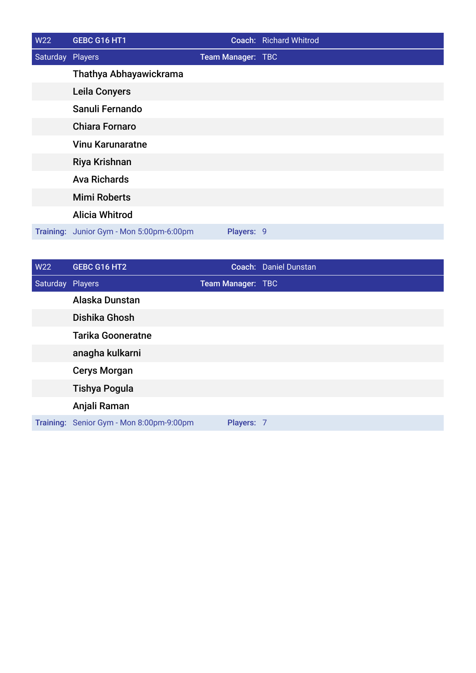| W22              | GEBC G16 HT1                             |                          | <b>Coach:</b> Richard Whitrod |
|------------------|------------------------------------------|--------------------------|-------------------------------|
| Saturday Players |                                          | <b>Team Manager: TBC</b> |                               |
|                  | Thathya Abhayawickrama                   |                          |                               |
|                  | <b>Leila Conyers</b>                     |                          |                               |
|                  | Sanuli Fernando                          |                          |                               |
|                  | <b>Chiara Fornaro</b>                    |                          |                               |
|                  | <b>Vinu Karunaratne</b>                  |                          |                               |
|                  | Riya Krishnan                            |                          |                               |
|                  | <b>Ava Richards</b>                      |                          |                               |
|                  | <b>Mimi Roberts</b>                      |                          |                               |
|                  | <b>Alicia Whitrod</b>                    |                          |                               |
|                  | Training: Junior Gym - Mon 5:00pm-6:00pm | Players: 9               |                               |

| <b>W22</b>       | GEBC G16 HT2                             |                   | Coach: Daniel Dunstan |
|------------------|------------------------------------------|-------------------|-----------------------|
| Saturday Players |                                          | Team Manager: TBC |                       |
|                  | Alaska Dunstan                           |                   |                       |
|                  | Dishika Ghosh                            |                   |                       |
|                  | <b>Tarika Gooneratne</b>                 |                   |                       |
|                  | anagha kulkarni                          |                   |                       |
|                  | <b>Cerys Morgan</b>                      |                   |                       |
|                  | <b>Tishya Pogula</b>                     |                   |                       |
|                  | Anjali Raman                             |                   |                       |
|                  | Training: Senior Gym - Mon 8:00pm-9:00pm | Players: 7        |                       |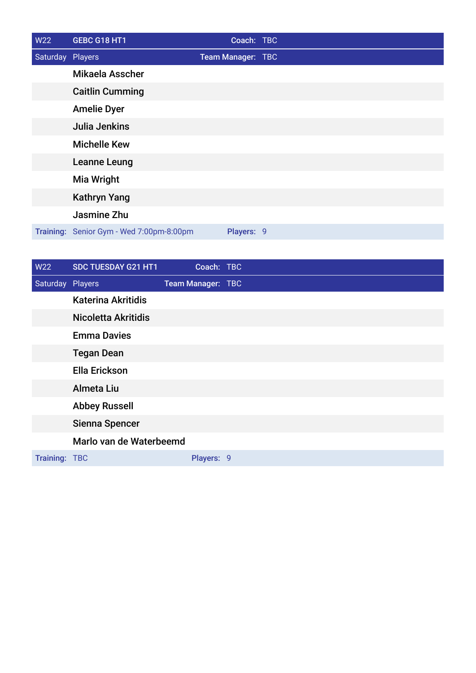| W22              | GEBC G18 HT1                             | Coach: TBC        |  |
|------------------|------------------------------------------|-------------------|--|
| Saturday Players |                                          | Team Manager: TBC |  |
|                  | Mikaela Asscher                          |                   |  |
|                  | <b>Caitlin Cumming</b>                   |                   |  |
|                  | <b>Amelie Dyer</b>                       |                   |  |
|                  | Julia Jenkins                            |                   |  |
|                  | <b>Michelle Kew</b>                      |                   |  |
|                  | Leanne Leung                             |                   |  |
|                  | <b>Mia Wright</b>                        |                   |  |
|                  | <b>Kathryn Yang</b>                      |                   |  |
|                  | Jasmine Zhu                              |                   |  |
|                  | Training: Senior Gym - Wed 7:00pm-8:00pm | Players: 9        |  |

| W22              | SDC TUESDAY G21 HT1        | Coach: TBC        |  |
|------------------|----------------------------|-------------------|--|
| Saturday Players |                            | Team Manager: TBC |  |
|                  | <b>Katerina Akritidis</b>  |                   |  |
|                  | <b>Nicoletta Akritidis</b> |                   |  |
|                  | <b>Emma Davies</b>         |                   |  |
|                  | <b>Tegan Dean</b>          |                   |  |
|                  | <b>Ella Erickson</b>       |                   |  |
|                  | Almeta Liu                 |                   |  |
|                  | <b>Abbey Russell</b>       |                   |  |
|                  | Sienna Spencer             |                   |  |
|                  | Marlo van de Waterbeemd    |                   |  |
| Training: TBC    |                            | Players: 9        |  |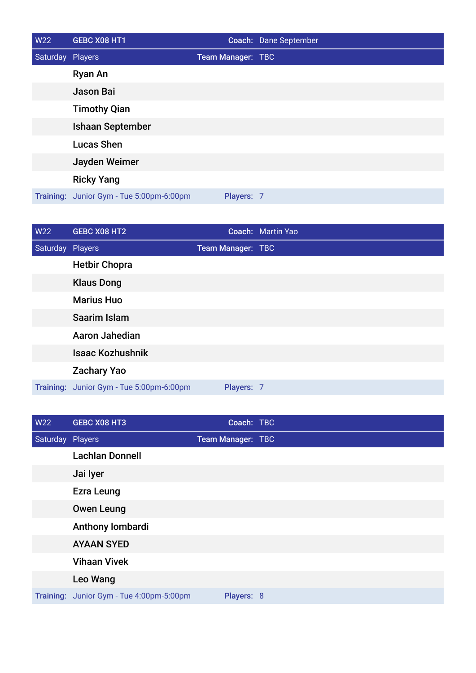| W22              | GEBC X08 HT1                             |                          | Coach: Dane September |
|------------------|------------------------------------------|--------------------------|-----------------------|
| Saturday Players |                                          | <b>Team Manager: TBC</b> |                       |
|                  | <b>Ryan An</b>                           |                          |                       |
|                  | Jason Bai                                |                          |                       |
|                  | <b>Timothy Qian</b>                      |                          |                       |
|                  | <b>Ishaan September</b>                  |                          |                       |
|                  | <b>Lucas Shen</b>                        |                          |                       |
|                  | Jayden Weimer                            |                          |                       |
|                  | <b>Ricky Yang</b>                        |                          |                       |
|                  | Training: Junior Gym - Tue 5:00pm-6:00pm | Players: 7               |                       |

| <b>W22</b> | GEBC X08 HT2                             |                   | Coach: Martin Yao |
|------------|------------------------------------------|-------------------|-------------------|
| Saturday   | Players                                  | Team Manager: TBC |                   |
|            | <b>Hetbir Chopra</b>                     |                   |                   |
|            | <b>Klaus Dong</b>                        |                   |                   |
|            | <b>Marius Huo</b>                        |                   |                   |
|            | Saarim Islam                             |                   |                   |
|            | Aaron Jahedian                           |                   |                   |
|            | <b>Isaac Kozhushnik</b>                  |                   |                   |
|            | <b>Zachary Yao</b>                       |                   |                   |
|            | Training: Junior Gym - Tue 5:00pm-6:00pm | Players: 7        |                   |

| W22              | <b>GEBC X08 HT3</b>                      | Coach: TBC        |  |
|------------------|------------------------------------------|-------------------|--|
| Saturday Players |                                          | Team Manager: TBC |  |
|                  | <b>Lachlan Donnell</b>                   |                   |  |
|                  | Jai lyer                                 |                   |  |
|                  | <b>Ezra Leung</b>                        |                   |  |
|                  | <b>Owen Leung</b>                        |                   |  |
|                  | Anthony lombardi                         |                   |  |
|                  | <b>AYAAN SYED</b>                        |                   |  |
|                  | <b>Vihaan Vivek</b>                      |                   |  |
|                  | Leo Wang                                 |                   |  |
|                  | Training: Junior Gym - Tue 4:00pm-5:00pm | Players: 8        |  |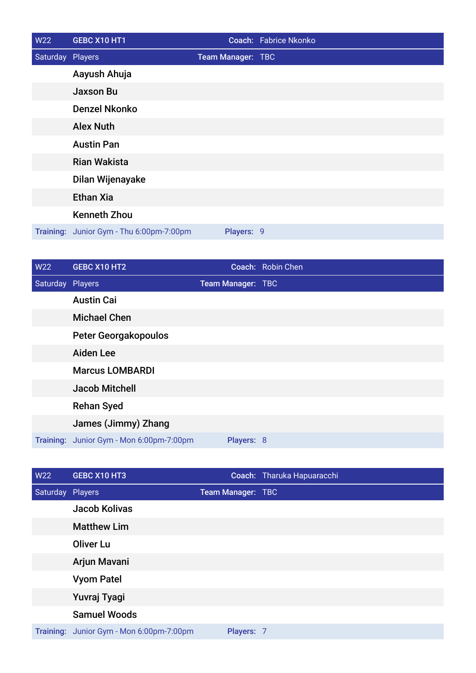| W22              | GEBC X10 HT1                             |                   | Coach: Fabrice Nkonko |
|------------------|------------------------------------------|-------------------|-----------------------|
| Saturday Players |                                          | Team Manager: TBC |                       |
|                  | Aayush Ahuja                             |                   |                       |
|                  | <b>Jaxson Bu</b>                         |                   |                       |
|                  | <b>Denzel Nkonko</b>                     |                   |                       |
|                  | <b>Alex Nuth</b>                         |                   |                       |
|                  | <b>Austin Pan</b>                        |                   |                       |
|                  | <b>Rian Wakista</b>                      |                   |                       |
|                  | Dilan Wijenayake                         |                   |                       |
|                  | <b>Ethan Xia</b>                         |                   |                       |
|                  | <b>Kenneth Zhou</b>                      |                   |                       |
|                  | Training: Junior Gym - Thu 6:00pm-7:00pm | Players: 9        |                       |

| W22              | GEBC X10 HT2                             |                   | Coach: Robin Chen |
|------------------|------------------------------------------|-------------------|-------------------|
| Saturday Players |                                          | Team Manager: TBC |                   |
|                  | <b>Austin Cai</b>                        |                   |                   |
|                  | <b>Michael Chen</b>                      |                   |                   |
|                  | <b>Peter Georgakopoulos</b>              |                   |                   |
|                  | <b>Aiden Lee</b>                         |                   |                   |
|                  | <b>Marcus LOMBARDI</b>                   |                   |                   |
|                  | <b>Jacob Mitchell</b>                    |                   |                   |
|                  | <b>Rehan Syed</b>                        |                   |                   |
|                  | James (Jimmy) Zhang                      |                   |                   |
|                  | Training: Junior Gym - Mon 6:00pm-7:00pm | Players: 8        |                   |

| <b>W22</b>       | GEBC X10 HT3                             |                   | Coach: Tharuka Hapuaracchi |
|------------------|------------------------------------------|-------------------|----------------------------|
| Saturday Players |                                          | Team Manager: TBC |                            |
|                  | Jacob Kolivas                            |                   |                            |
|                  | <b>Matthew Lim</b>                       |                   |                            |
|                  | <b>Oliver Lu</b>                         |                   |                            |
|                  | Arjun Mavani                             |                   |                            |
|                  | <b>Vyom Patel</b>                        |                   |                            |
|                  | Yuvraj Tyagi                             |                   |                            |
|                  | <b>Samuel Woods</b>                      |                   |                            |
|                  | Training: Junior Gym - Mon 6:00pm-7:00pm | Players: 7        |                            |